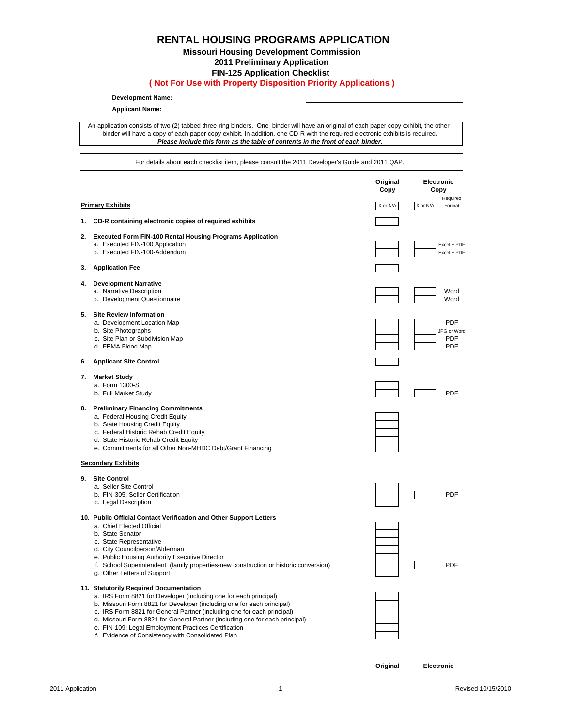# **RENTAL HOUSING PROGRAMS APPLICATION**

## **Missouri Housing Development Commission 2011 Preliminary Application**

**FIN-125 Application Checklist** 

#### **( Not For Use with Property Disposition Priority Applications )**

#### **Development Name:**

#### **Applicant Name:**

binder will have a copy of each paper copy exhibit. In addition, one CD-R with the required electronic exhibits is required. An application consists of two (2) tabbed three-ring binders. One binder will have an original of each paper copy exhibit, the other *Please include this form as the table of contents in the front of each binder.*

For details about each checklist item, please consult the 2011 Developer's Guide and 2011 QAP.

|                           |                                                                                                                                                                                                                                                                                                                                                                                                                                                               | Original<br>Copy | <b>Electronic</b><br>Copy<br>Required                 |  |
|---------------------------|---------------------------------------------------------------------------------------------------------------------------------------------------------------------------------------------------------------------------------------------------------------------------------------------------------------------------------------------------------------------------------------------------------------------------------------------------------------|------------------|-------------------------------------------------------|--|
| <u>Primary Exhibits</u>   |                                                                                                                                                                                                                                                                                                                                                                                                                                                               | X or N/A         | X or N/A<br>Format                                    |  |
| 1.                        | CD-R containing electronic copies of required exhibits                                                                                                                                                                                                                                                                                                                                                                                                        |                  |                                                       |  |
| 2.                        | <b>Executed Form FIN-100 Rental Housing Programs Application</b><br>a. Executed FIN-100 Application<br>b. Executed FIN-100-Addendum                                                                                                                                                                                                                                                                                                                           |                  | Excel + PDF<br>Excel + PDF                            |  |
| 3.                        | <b>Application Fee</b>                                                                                                                                                                                                                                                                                                                                                                                                                                        |                  |                                                       |  |
| 4.                        | <b>Development Narrative</b><br>a. Narrative Description<br>b. Development Questionnaire                                                                                                                                                                                                                                                                                                                                                                      |                  | Word<br>Word                                          |  |
| 5.                        | <b>Site Review Information</b><br>a. Development Location Map<br>b. Site Photographs<br>c. Site Plan or Subdivision Map<br>d. FEMA Flood Map                                                                                                                                                                                                                                                                                                                  |                  | <b>PDF</b><br>JPG or Word<br><b>PDF</b><br><b>PDF</b> |  |
| 6.                        | <b>Applicant Site Control</b>                                                                                                                                                                                                                                                                                                                                                                                                                                 |                  |                                                       |  |
| 7.                        | <b>Market Study</b><br>a. Form 1300-S<br>b. Full Market Study                                                                                                                                                                                                                                                                                                                                                                                                 |                  | <b>PDF</b>                                            |  |
| 8.                        | <b>Preliminary Financing Commitments</b><br>a. Federal Housing Credit Equity<br>b. State Housing Credit Equity<br>c. Federal Historic Rehab Credit Equity<br>d. State Historic Rehab Credit Equity<br>e. Commitments for all Other Non-MHDC Debt/Grant Financing                                                                                                                                                                                              |                  |                                                       |  |
| <b>Secondary Exhibits</b> |                                                                                                                                                                                                                                                                                                                                                                                                                                                               |                  |                                                       |  |
| 9.                        | <b>Site Control</b><br>a. Seller Site Control<br>b. FIN-305: Seller Certification<br>c. Legal Description                                                                                                                                                                                                                                                                                                                                                     |                  | <b>PDF</b>                                            |  |
|                           | 10. Public Official Contact Verification and Other Support Letters<br>a. Chief Elected Official<br>b. State Senator<br>c. State Representative<br>d. City Councilperson/Alderman<br>e. Public Housing Authority Executive Director<br>f. School Superintendent (family properties-new construction or historic conversion)<br>g. Other Letters of Support                                                                                                     |                  | <b>PDF</b>                                            |  |
|                           | 11. Statutorily Required Documentation<br>a. IRS Form 8821 for Developer (including one for each principal)<br>b. Missouri Form 8821 for Developer (including one for each principal)<br>c. IRS Form 8821 for General Partner (including one for each principal)<br>d. Missouri Form 8821 for General Partner (including one for each principal)<br>e. FIN-109: Legal Employment Practices Certification<br>f. Evidence of Consistency with Consolidated Plan |                  |                                                       |  |